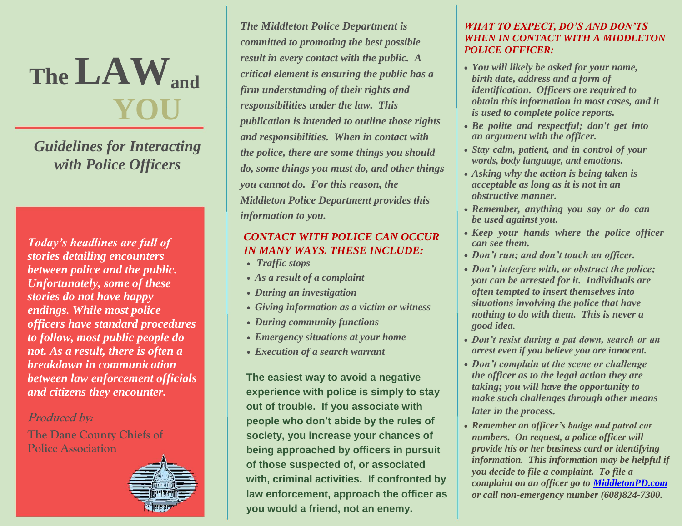# **The LAWand YOU**

*Guidelines for Interacting with Police Officers*

*Today's headlines are full of stories detailing encounters between police and the public. Unfortunately, some of these stories do not have happy endings. While most police officers have standard procedures to follow, most public people do not. As a result, there is often a breakdown in communication between law enforcement officials and citizens they encounter.*

#### **Produced by:**

**The Dane County Chiefs of Police Association**



*The Middleton Police Department is committed to promoting the best possible result in every contact with the public. A critical element is ensuring the public has a firm understanding of their rights and responsibilities under the law. This publication is intended to outline those rights and responsibilities. When in contact with the police, there are some things you should do, some things you must do, and other things you cannot do. For this reason, the Middleton Police Department provides this information to you.*

#### *CONTACT WITH POLICE CAN OCCUR IN MANY WAYS. THESE INCLUDE:*

- *Traffic stops*
- *As a result of a complaint*
- *During an investigation*
- *Giving information as a victim or witness*
- *During community functions*
- *Emergency situations at your home*
- *Execution of a search warrant*

**The easiest way to avoid a negative experience with police is simply to stay out of trouble. If you associate with people who don't abide by the rules of society, you increase your chances of being approached by officers in pursuit of those suspected of, or associated with, criminal activities. If confronted by law enforcement, approach the officer as you would a friend, not an enemy.**

#### *WHAT TO EXPECT, DO'S AND DON'TS WHEN IN CONTACT WITH A MIDDLETON POLICE OFFICER:*

- *You will likely be asked for your name, birth date, address and a form of identification. Officers are required to obtain this information in most cases, and it is used to complete police reports.*
- *Be polite and respectful; don't get into an argument with the officer.*
- *Stay calm, patient, and in control of your words, body language, and emotions.*
- *Asking why the action is being taken is acceptable as long as it is not in an obstructive manner.*
- *Remember, anything you say or do can be used against you.*
- *Keep your hands where the police officer can see them.*
- *Don't run; and don't touch an officer.*
- *Don't interfere with, or obstruct the police; you can be arrested for it. Individuals are often tempted to insert themselves into situations involving the police that have nothing to do with them. This is never a good idea.*
- *Don't resist during a pat down, search or an arrest even if you believe you are innocent.*
- *Don't complain at the scene or challenge the officer as to the legal action they are taking; you will have the opportunity to make such challenges through other means later in the process.*
- *Remember an officer's badge and patrol car numbers. On request, a police officer will provide his or her business card or identifying information. This information may be helpful if you decide to file a complaint. To file a complaint on an officer go to [MiddletonPD.com](http://www.middletonpd.com/) or call non-emergency number (608)824-7300.*